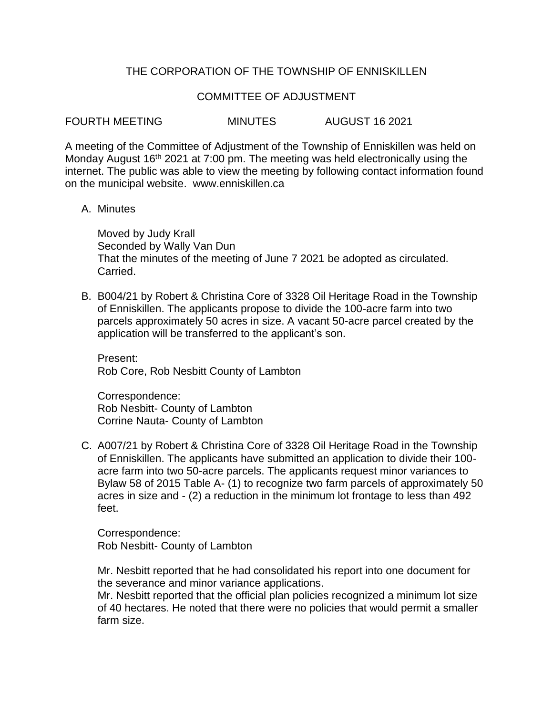## THE CORPORATION OF THE TOWNSHIP OF ENNISKILLEN

### COMMITTEE OF ADJUSTMENT

FOURTH MEETING MINUTES AUGUST 16 2021

A meeting of the Committee of Adjustment of the Township of Enniskillen was held on Monday August 16<sup>th</sup> 2021 at 7:00 pm. The meeting was held electronically using the internet. The public was able to view the meeting by following contact information found on the municipal website. www.enniskillen.ca

#### A. Minutes

Moved by Judy Krall Seconded by Wally Van Dun That the minutes of the meeting of June 7 2021 be adopted as circulated. Carried.

B. B004/21 by Robert & Christina Core of 3328 Oil Heritage Road in the Township of Enniskillen. The applicants propose to divide the 100-acre farm into two parcels approximately 50 acres in size. A vacant 50-acre parcel created by the application will be transferred to the applicant's son.

Present: Rob Core, Rob Nesbitt County of Lambton

Correspondence: Rob Nesbitt- County of Lambton Corrine Nauta- County of Lambton

C. A007/21 by Robert & Christina Core of 3328 Oil Heritage Road in the Township of Enniskillen. The applicants have submitted an application to divide their 100 acre farm into two 50-acre parcels. The applicants request minor variances to Bylaw 58 of 2015 Table A- (1) to recognize two farm parcels of approximately 50 acres in size and - (2) a reduction in the minimum lot frontage to less than 492 feet.

Correspondence: Rob Nesbitt- County of Lambton

Mr. Nesbitt reported that he had consolidated his report into one document for the severance and minor variance applications.

Mr. Nesbitt reported that the official plan policies recognized a minimum lot size of 40 hectares. He noted that there were no policies that would permit a smaller farm size.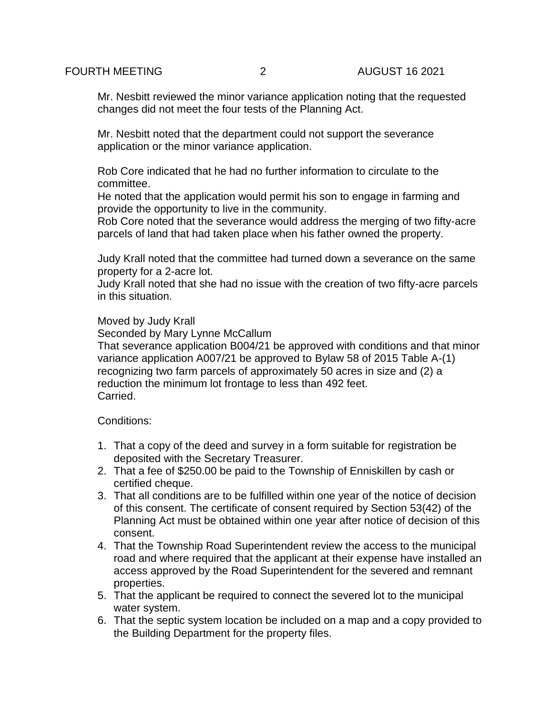Mr. Nesbitt reviewed the minor variance application noting that the requested changes did not meet the four tests of the Planning Act.

Mr. Nesbitt noted that the department could not support the severance application or the minor variance application.

Rob Core indicated that he had no further information to circulate to the committee.

He noted that the application would permit his son to engage in farming and provide the opportunity to live in the community.

Rob Core noted that the severance would address the merging of two fifty-acre parcels of land that had taken place when his father owned the property.

Judy Krall noted that the committee had turned down a severance on the same property for a 2-acre lot.

Judy Krall noted that she had no issue with the creation of two fifty-acre parcels in this situation.

### Moved by Judy Krall

Seconded by Mary Lynne McCallum

That severance application B004/21 be approved with conditions and that minor variance application A007/21 be approved to Bylaw 58 of 2015 Table A-(1) recognizing two farm parcels of approximately 50 acres in size and (2) a reduction the minimum lot frontage to less than 492 feet. Carried.

Conditions:

- 1. That a copy of the deed and survey in a form suitable for registration be deposited with the Secretary Treasurer.
- 2. That a fee of \$250.00 be paid to the Township of Enniskillen by cash or certified cheque.
- 3. That all conditions are to be fulfilled within one year of the notice of decision of this consent. The certificate of consent required by Section 53(42) of the Planning Act must be obtained within one year after notice of decision of this consent.
- 4. That the Township Road Superintendent review the access to the municipal road and where required that the applicant at their expense have installed an access approved by the Road Superintendent for the severed and remnant properties.
- 5. That the applicant be required to connect the severed lot to the municipal water system.
- 6. That the septic system location be included on a map and a copy provided to the Building Department for the property files.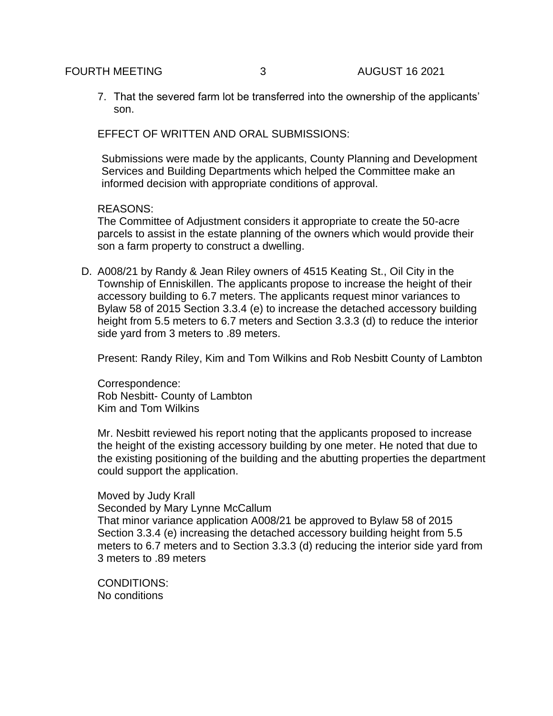7. That the severed farm lot be transferred into the ownership of the applicants' son.

EFFECT OF WRITTEN AND ORAL SUBMISSIONS:

Submissions were made by the applicants, County Planning and Development Services and Building Departments which helped the Committee make an informed decision with appropriate conditions of approval.

## REASONS:

The Committee of Adjustment considers it appropriate to create the 50-acre parcels to assist in the estate planning of the owners which would provide their son a farm property to construct a dwelling.

D. A008/21 by Randy & Jean Riley owners of 4515 Keating St., Oil City in the Township of Enniskillen. The applicants propose to increase the height of their accessory building to 6.7 meters. The applicants request minor variances to Bylaw 58 of 2015 Section 3.3.4 (e) to increase the detached accessory building height from 5.5 meters to 6.7 meters and Section 3.3.3 (d) to reduce the interior side yard from 3 meters to .89 meters.

Present: Randy Riley, Kim and Tom Wilkins and Rob Nesbitt County of Lambton

Correspondence: Rob Nesbitt- County of Lambton Kim and Tom Wilkins

Mr. Nesbitt reviewed his report noting that the applicants proposed to increase the height of the existing accessory building by one meter. He noted that due to the existing positioning of the building and the abutting properties the department could support the application.

# Moved by Judy Krall

Seconded by Mary Lynne McCallum

That minor variance application A008/21 be approved to Bylaw 58 of 2015 Section 3.3.4 (e) increasing the detached accessory building height from 5.5 meters to 6.7 meters and to Section 3.3.3 (d) reducing the interior side yard from 3 meters to .89 meters

CONDITIONS: No conditions